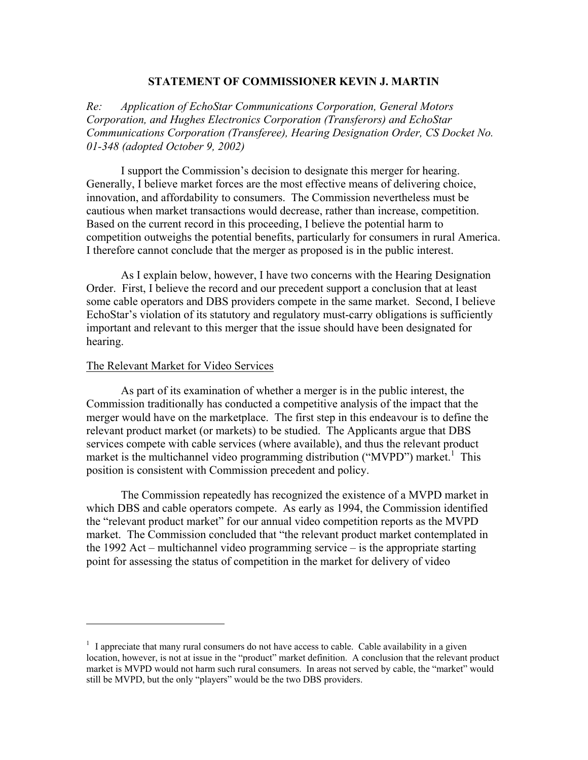## **STATEMENT OF COMMISSIONER KEVIN J. MARTIN**

*Re: Application of EchoStar Communications Corporation, General Motors Corporation, and Hughes Electronics Corporation (Transferors) and EchoStar Communications Corporation (Transferee), Hearing Designation Order, CS Docket No. 01-348 (adopted October 9, 2002)* 

I support the Commission's decision to designate this merger for hearing. Generally, I believe market forces are the most effective means of delivering choice, innovation, and affordability to consumers. The Commission nevertheless must be cautious when market transactions would decrease, rather than increase, competition. Based on the current record in this proceeding, I believe the potential harm to competition outweighs the potential benefits, particularly for consumers in rural America. I therefore cannot conclude that the merger as proposed is in the public interest.

As I explain below, however, I have two concerns with the Hearing Designation Order. First, I believe the record and our precedent support a conclusion that at least some cable operators and DBS providers compete in the same market. Second, I believe EchoStar's violation of its statutory and regulatory must-carry obligations is sufficiently important and relevant to this merger that the issue should have been designated for hearing.

## The Relevant Market for Video Services

 $\overline{a}$ 

As part of its examination of whether a merger is in the public interest, the Commission traditionally has conducted a competitive analysis of the impact that the merger would have on the marketplace. The first step in this endeavour is to define the relevant product market (or markets) to be studied. The Applicants argue that DBS services compete with cable services (where available), and thus the relevant product market is the multichannel video programming distribution ("MVPD") market.<sup>1</sup> This position is consistent with Commission precedent and policy.

The Commission repeatedly has recognized the existence of a MVPD market in which DBS and cable operators compete. As early as 1994, the Commission identified the "relevant product market" for our annual video competition reports as the MVPD market. The Commission concluded that "the relevant product market contemplated in the 1992 Act – multichannel video programming service – is the appropriate starting point for assessing the status of competition in the market for delivery of video

 $<sup>1</sup>$  I appreciate that many rural consumers do not have access to cable. Cable availability in a given</sup> location, however, is not at issue in the "product" market definition. A conclusion that the relevant product market is MVPD would not harm such rural consumers. In areas not served by cable, the "market" would still be MVPD, but the only "players" would be the two DBS providers.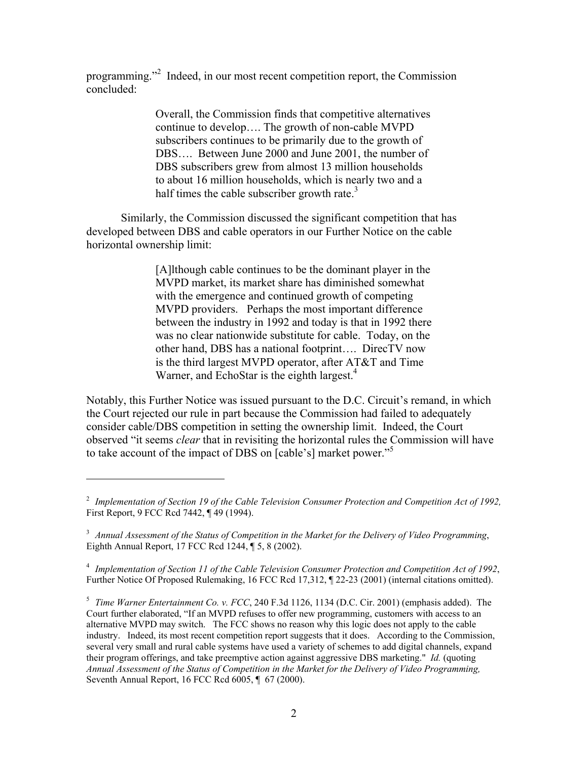programming."<sup>2</sup> Indeed, in our most recent competition report, the Commission concluded:

> Overall, the Commission finds that competitive alternatives continue to develop…. The growth of non-cable MVPD subscribers continues to be primarily due to the growth of DBS…. Between June 2000 and June 2001, the number of DBS subscribers grew from almost 13 million households to about 16 million households, which is nearly two and a half times the cable subscriber growth rate. $3$

Similarly, the Commission discussed the significant competition that has developed between DBS and cable operators in our Further Notice on the cable horizontal ownership limit:

> [A]lthough cable continues to be the dominant player in the MVPD market, its market share has diminished somewhat with the emergence and continued growth of competing MVPD providers. Perhaps the most important difference between the industry in 1992 and today is that in 1992 there was no clear nationwide substitute for cable. Today, on the other hand, DBS has a national footprint…. DirecTV now is the third largest MVPD operator, after AT&T and Time Warner, and EchoStar is the eighth largest.<sup>4</sup>

Notably, this Further Notice was issued pursuant to the D.C. Circuit's remand, in which the Court rejected our rule in part because the Commission had failed to adequately consider cable/DBS competition in setting the ownership limit. Indeed, the Court observed "it seems *clear* that in revisiting the horizontal rules the Commission will have to take account of the impact of DBS on [cable's] market power."<sup>5</sup>

 $\overline{a}$ 

4 *Implementation of Section 11 of the Cable Television Consumer Protection and Competition Act of 1992*, Further Notice Of Proposed Rulemaking, 16 FCC Rcd 17,312, ¶ 22-23 (2001) (internal citations omitted).

5  *Time Warner Entertainment Co. v. FCC*, 240 F.3d 1126, 1134 (D.C. Cir. 2001) (emphasis added). The Court further elaborated, "If an MVPD refuses to offer new programming, customers with access to an alternative MVPD may switch. The FCC shows no reason why this logic does not apply to the cable industry. Indeed, its most recent competition report suggests that it does. According to the Commission, several very small and rural cable systems have used a variety of schemes to add digital channels, expand their program offerings, and take preemptive action against aggressive DBS marketing." *Id.* (quoting *Annual Assessment of the Status of Competition in the Market for the Delivery of Video Programming,* Seventh Annual Report, 16 FCC Rcd 6005, ¶ 67 (2000).

<sup>&</sup>lt;sup>2</sup> Implementation of Section 19 of the Cable Television Consumer Protection and Competition Act of 1992, First Report, 9 FCC Rcd 7442, ¶ 49 (1994).

<sup>3</sup> *Annual Assessment of the Status of Competition in the Market for the Delivery of Video Programming*, Eighth Annual Report, 17 FCC Rcd 1244, ¶ 5, 8 (2002).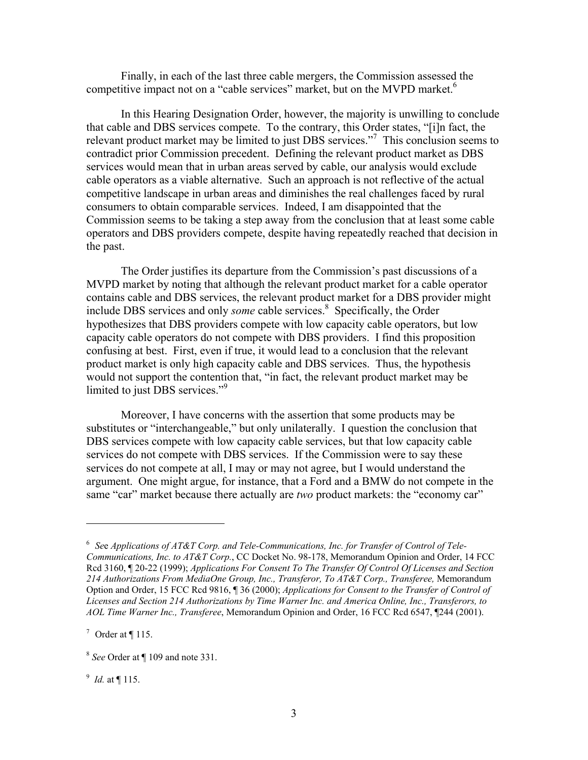Finally, in each of the last three cable mergers, the Commission assessed the competitive impact not on a "cable services" market, but on the MVPD market.<sup>6</sup>

In this Hearing Designation Order, however, the majority is unwilling to conclude that cable and DBS services compete. To the contrary, this Order states, "[i]n fact, the relevant product market may be limited to just DBS services."<sup>7</sup> This conclusion seems to contradict prior Commission precedent. Defining the relevant product market as DBS services would mean that in urban areas served by cable, our analysis would exclude cable operators as a viable alternative. Such an approach is not reflective of the actual competitive landscape in urban areas and diminishes the real challenges faced by rural consumers to obtain comparable services. Indeed, I am disappointed that the Commission seems to be taking a step away from the conclusion that at least some cable operators and DBS providers compete, despite having repeatedly reached that decision in the past.

The Order justifies its departure from the Commission's past discussions of a MVPD market by noting that although the relevant product market for a cable operator contains cable and DBS services, the relevant product market for a DBS provider might include DBS services and only *some* cable services.<sup>8</sup> Specifically, the Order hypothesizes that DBS providers compete with low capacity cable operators, but low capacity cable operators do not compete with DBS providers. I find this proposition confusing at best. First, even if true, it would lead to a conclusion that the relevant product market is only high capacity cable and DBS services. Thus, the hypothesis would not support the contention that, "in fact, the relevant product market may be limited to just DBS services."<sup>9</sup>

Moreover, I have concerns with the assertion that some products may be substitutes or "interchangeable," but only unilaterally. I question the conclusion that DBS services compete with low capacity cable services, but that low capacity cable services do not compete with DBS services. If the Commission were to say these services do not compete at all, I may or may not agree, but I would understand the argument. One might argue, for instance, that a Ford and a BMW do not compete in the same "car" market because there actually are *two* product markets: the "economy car"

 $\overline{a}$ 

9 *Id.* at ¶ 115.

<sup>6</sup> *Se*e *Applications of AT&T Corp. and Tele-Communications, Inc. for Transfer of Control of Tele-Communications, Inc. to AT&T Corp.*, CC Docket No. 98-178, Memorandum Opinion and Order, 14 FCC Rcd 3160, ¶ 20-22 (1999); *Applications For Consent To The Transfer Of Control Of Licenses and Section 214 Authorizations From MediaOne Group, Inc., Transferor, To AT&T Corp., Transferee,* Memorandum Option and Order, 15 FCC Rcd 9816, ¶ 36 (2000); *Applications for Consent to the Transfer of Control of Licenses and Section 214 Authorizations by Time Warner Inc. and America Online, Inc., Transferors, to AOL Time Warner Inc., Transferee*, Memorandum Opinion and Order, 16 FCC Rcd 6547, ¶244 (2001).

 $^7$  Order at  $\P$  115.

<sup>8</sup> *See* Order at ¶ 109 and note 331.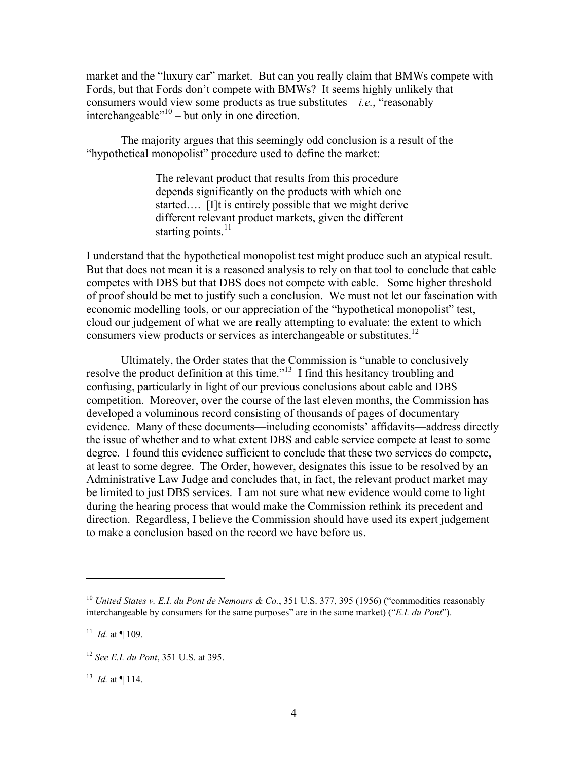market and the "luxury car" market. But can you really claim that BMWs compete with Fords, but that Fords don't compete with BMWs? It seems highly unlikely that consumers would view some products as true substitutes  $-i.e.,$  "reasonably" interchangeable $^{\cdot 10}$  – but only in one direction.

The majority argues that this seemingly odd conclusion is a result of the "hypothetical monopolist" procedure used to define the market:

> The relevant product that results from this procedure depends significantly on the products with which one started…. [I]t is entirely possible that we might derive different relevant product markets, given the different starting points. $^{11}$

I understand that the hypothetical monopolist test might produce such an atypical result. But that does not mean it is a reasoned analysis to rely on that tool to conclude that cable competes with DBS but that DBS does not compete with cable. Some higher threshold of proof should be met to justify such a conclusion. We must not let our fascination with economic modelling tools, or our appreciation of the "hypothetical monopolist" test, cloud our judgement of what we are really attempting to evaluate: the extent to which consumers view products or services as interchangeable or substitutes.<sup>12</sup>

Ultimately, the Order states that the Commission is "unable to conclusively resolve the product definition at this time."13 I find this hesitancy troubling and confusing, particularly in light of our previous conclusions about cable and DBS competition. Moreover, over the course of the last eleven months, the Commission has developed a voluminous record consisting of thousands of pages of documentary evidence. Many of these documents—including economists' affidavits—address directly the issue of whether and to what extent DBS and cable service compete at least to some degree. I found this evidence sufficient to conclude that these two services do compete, at least to some degree. The Order, however, designates this issue to be resolved by an Administrative Law Judge and concludes that, in fact, the relevant product market may be limited to just DBS services. I am not sure what new evidence would come to light during the hearing process that would make the Commission rethink its precedent and direction. Regardless, I believe the Commission should have used its expert judgement to make a conclusion based on the record we have before us.

 $\overline{a}$ 

<sup>&</sup>lt;sup>10</sup> *United States v. E.I. du Pont de Nemours & Co.*, 351 U.S. 377, 395 (1956) ("commodities reasonably interchangeable by consumers for the same purposes" are in the same market) ("*E.I. du Pont*").

<sup>&</sup>lt;sup>11</sup> *Id.* at  $\P$  109.

<sup>12</sup> *See E.I. du Pont*, 351 U.S. at 395.

 $13$  *Id.* at ¶ 114.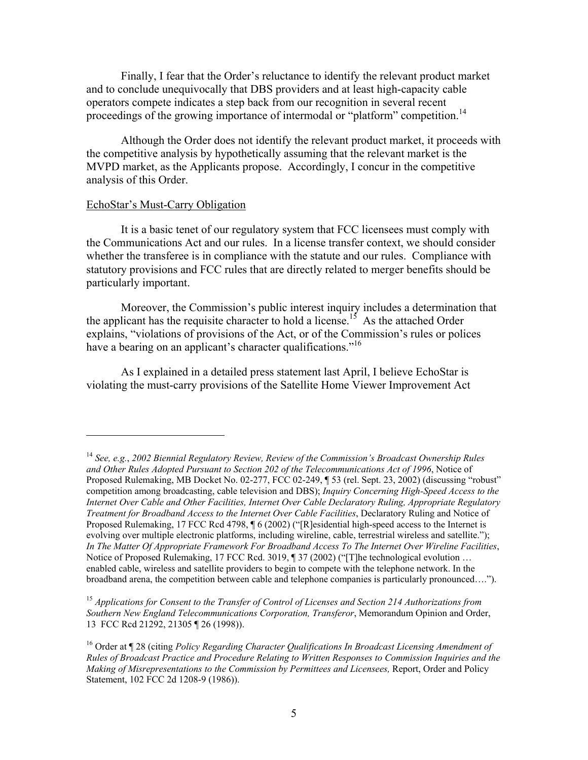Finally, I fear that the Order's reluctance to identify the relevant product market and to conclude unequivocally that DBS providers and at least high-capacity cable operators compete indicates a step back from our recognition in several recent proceedings of the growing importance of intermodal or "platform" competition.<sup>14</sup>

Although the Order does not identify the relevant product market, it proceeds with the competitive analysis by hypothetically assuming that the relevant market is the MVPD market, as the Applicants propose. Accordingly, I concur in the competitive analysis of this Order.

## EchoStar's Must-Carry Obligation

 $\overline{a}$ 

It is a basic tenet of our regulatory system that FCC licensees must comply with the Communications Act and our rules. In a license transfer context, we should consider whether the transferee is in compliance with the statute and our rules. Compliance with statutory provisions and FCC rules that are directly related to merger benefits should be particularly important.

Moreover, the Commission's public interest inquiry includes a determination that the applicant has the requisite character to hold a license.<sup>15</sup> As the attached Order explains, "violations of provisions of the Act, or of the Commission's rules or polices have a bearing on an applicant's character qualifications.<sup>"16</sup>

As I explained in a detailed press statement last April, I believe EchoStar is violating the must-carry provisions of the Satellite Home Viewer Improvement Act

<sup>14</sup> *See, e.g.*, *2002 Biennial Regulatory Review, Review of the Commission's Broadcast Ownership Rules and Other Rules Adopted Pursuant to Section 202 of the Telecommunications Act of 1996*, Notice of Proposed Rulemaking, MB Docket No. 02-277, FCC 02-249, ¶ 53 (rel. Sept. 23, 2002) (discussing "robust" competition among broadcasting, cable television and DBS); *Inquiry Concerning High-Speed Access to the Internet Over Cable and Other Facilities, Internet Over Cable Declaratory Ruling, Appropriate Regulatory Treatment for Broadband Access to the Internet Over Cable Facilities*, Declaratory Ruling and Notice of Proposed Rulemaking, 17 FCC Rcd 4798, ¶ 6 (2002) ("[R]esidential high-speed access to the Internet is evolving over multiple electronic platforms, including wireline, cable, terrestrial wireless and satellite."); *In The Matter Of Appropriate Framework For Broadband Access To The Internet Over Wireline Facilities*, Notice of Proposed Rulemaking, 17 FCC Rcd. 3019, ¶ 37 (2002) ("The technological evolution ... enabled cable, wireless and satellite providers to begin to compete with the telephone network. In the broadband arena, the competition between cable and telephone companies is particularly pronounced….").

<sup>15</sup> *Applications for Consent to the Transfer of Control of Licenses and Section 214 Authorizations from Southern New England Telecommunications Corporation, Transferor*, Memorandum Opinion and Order, 13 FCC Rcd 21292, 21305 ¶ 26 (1998)).

<sup>16</sup> Order at ¶ 28 (citing *Policy Regarding Character Qualifications In Broadcast Licensing Amendment of Rules of Broadcast Practice and Procedure Relating to Written Responses to Commission Inquiries and the Making of Misrepresentations to the Commission by Permittees and Licensees,* Report, Order and Policy Statement, 102 FCC 2d 1208-9 (1986)).